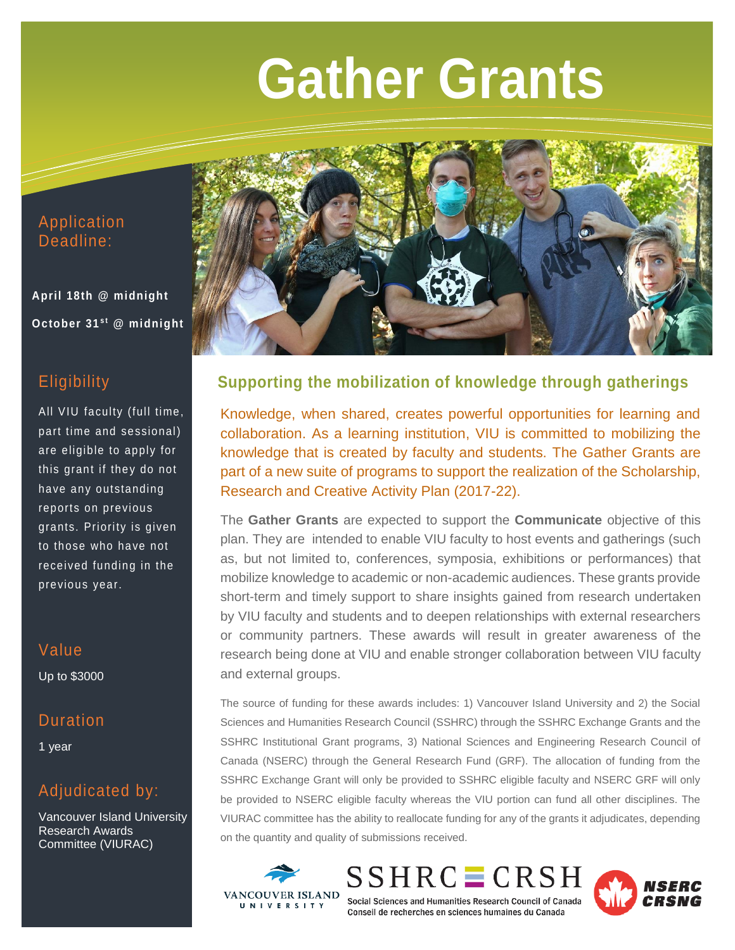# **Gather Grants**

## Application Deadline:

**April 18th @ midnight October 31st @ midnight** 

## **Eligibility**

All VIU faculty (full time, part time and sessional) are eligible to apply for this grant if they do not have any outstanding reports on previous grants. Priority is given to those who have not received funding in the previous year.

## Value Up to \$3000

## **Duration**

1 year

# Adjudicated by:

Vancouver Island University Research Awards Committee (VIURAC)



## **Supporting the mobilization of knowledge through gatherings**

Knowledge, when shared, creates powerful opportunities for learning and collaboration. As a learning institution, VIU is committed to mobilizing the knowledge that is created by faculty and students. The Gather Grants are part of a new suite of programs to support the realization of the Scholarship, Research and Creative Activity Plan (2017-22).

The **Gather Grants** are expected to support the **Communicate** objective of this plan. They are intended to enable VIU faculty to host events and gatherings (such as, but not limited to, conferences, symposia, exhibitions or performances) that mobilize knowledge to academic or non-academic audiences. These grants provide short-term and timely support to share insights gained from research undertaken by VIU faculty and students and to deepen relationships with external researchers or community partners. These awards will result in greater awareness of the research being done at VIU and enable stronger collaboration between VIU faculty and external groups.

The source of funding for these awards includes: 1) Vancouver Island University and 2) the Social Sciences and Humanities Research Council (SSHRC) through the SSHRC Exchange Grants and the SSHRC Institutional Grant programs, 3) National Sciences and Engineering Research Council of Canada (NSERC) through the General Research Fund (GRF). The allocation of funding from the SSHRC Exchange Grant will only be provided to SSHRC eligible faculty and NSERC GRF will only be provided to NSERC eligible faculty whereas the VIU portion can fund all other disciplines. The VIURAC committee has the ability to reallocate funding for any of the grants it adjudicates, depending on the quantity and quality of submissions received.



 $SSHRC \equiv CRSH$ Social Sciences and Humanities Research Council of Canada Conseil de recherches en sciences humaines du Canada